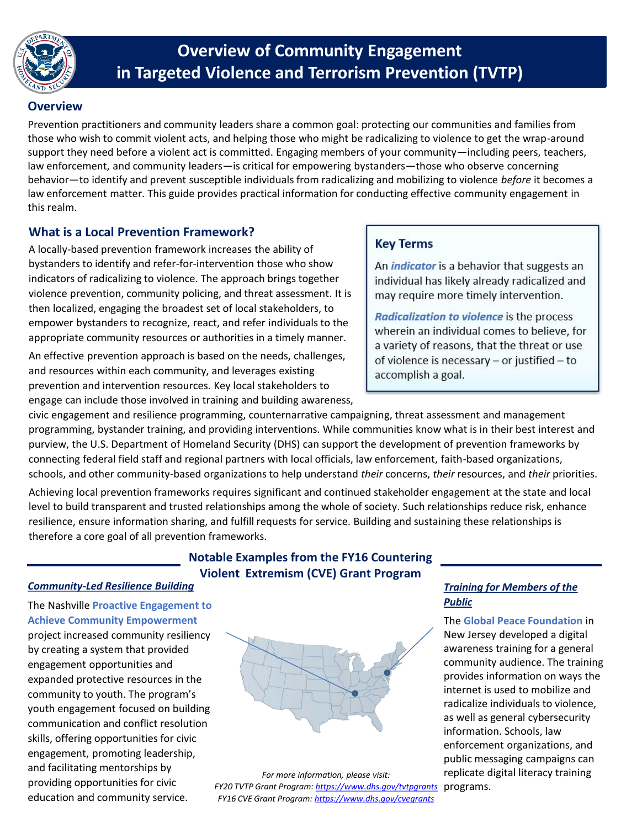

# **in Targeted Violence and Terrorism Prevention (TVTP) Overview of Community Engagement**

## **Overview**

 Prevention practitioners and community leaders share a common goal: protecting our communities and families from those who wish to commit violent acts, and helping those who might be radicalizing to violence to get the wrap-around law enforcement, and community leaders—is critical for empowering bystanders—those who observe concerning behavior—to identify and prevent susceptible individuals from radicalizing and mobilizing to violence *before* it becomes a support they need before a violent act is committed. Engaging members of your community—including peers, teachers, law enforcement matter. This guide provides practical information for conducting effective community engagement in this realm.

## **What is a Local Prevention Framework?**

 A locally-based prevention framework increases the ability of bystanders to identify and refer-for-intervention those who show indicators of radicalizing to violence. The approach brings together violence prevention, community policing, and threat assessment. It is empower bystanders to recognize, react, and refer individuals to the appropriate community resources or authorities in a timely manner. then localized, engaging the broadest set of local stakeholders, to

 An effective prevention approach is based on the needs, challenges, and resources within each community, and leverages existing prevention and intervention resources. Key local stakeholders to engage can include those involved in training and building awareness,

## **Key Terms**

 An *indicator* is a behavior that suggests an ndividual has likely already radicalized and may require more timely intervention.

 *Radicalization to violence* is the process a variety of reasons, that the threat or use wherein an individual comes to believe, for of violence is necessary – or justified – to accomplish a goal.

 civic engagement and resilience programming, counternarrative campaigning, threat assessment and management programming, bystander training, and providing interventions. While communities know what is in their best interest and purview, the U.S. Department of Homeland Security (DHS) can support the development of prevention frameworks by connecting federal field staff and regional partners with local officials, law enforcement, faith-based organizations, schools, and other community-based organizations to help understand *their* concerns, *their* resources, and *their* priorities.

 Achieving local prevention frameworks requires significant and continued stakeholder engagement at the state and local level to build transparent and trusted relationships among the whole of society. Such relationships reduce risk, enhance resilience, ensure information sharing, and fulfill requests for service. Building and sustaining these relationships is therefore a core goal of all prevention frameworks.

## **Notable Examples from the FY16 Countering Violent Extremism (CVE) Grant Program**

#### **Community-Led Resilience Building Training for Members of the** *Community-Led Resilience Building*

 *Public* The Nashville **Proactive Engagement to Achieve Community Empowerment** 

community to youth. The program's youth engagement focused on building education and community service. or community to youth. The program's<br>
youth engagement focused on building<br>
communication and conflict resolution<br>
skills, offering opportunities for civic<br>
engagement, promoting leadership,<br>
and facilitating mentorships b



FY16 CVE Grant Program: **https://www.dhs.gov/cvegrants** 

**The Global Peace Foundation in** provides information on ways the radicalize individuals to violence. enforcement organizations, and